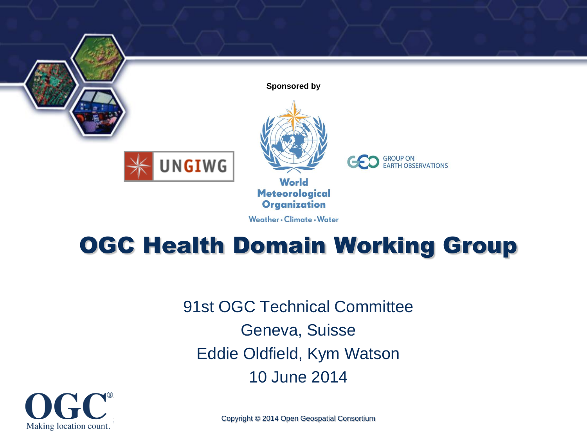

**Sponsored by**



**UNGIWG** 

**World Meteorological Organization** 

Weather . Climate . Water

**CO** GROUP ON EARTH OBSERVATIONS

#### OGC Health Domain Working Group

91st OGC Technical Committee Geneva, Suisse Eddie Oldfield, Kym Watson 10 June 2014



Copyright © 2014 Open Geospatial Consortium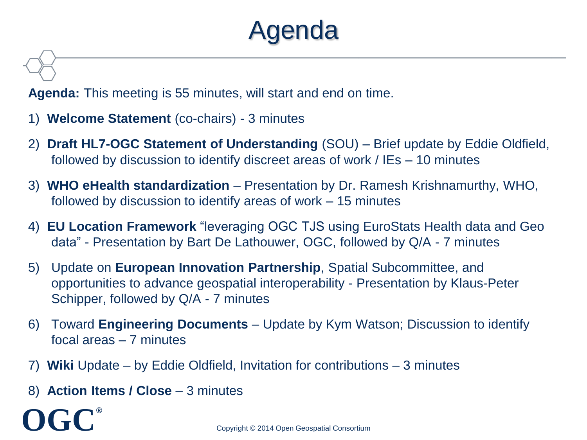# lenda

**Agenda:** This meeting is 55 minutes, will start and end on time.

- 1) **Welcome Statement** (co-chairs) 3 minutes
- 2) **Draft HL7-OGC Statement of Understanding** (SOU) Brief update by Eddie Oldfield, followed by discussion to identify discreet areas of work / IEs – 10 minutes
- 3) **WHO eHealth standardization**  Presentation by Dr. Ramesh Krishnamurthy, WHO, followed by discussion to identify areas of work – 15 minutes
- 4) **EU Location Framework** "leveraging OGC TJS using EuroStats Health data and Geo data" - Presentation by Bart De Lathouwer, OGC, followed by Q/A - 7 minutes
- 5) Update on **European Innovation Partnership**, Spatial Subcommittee, and opportunities to advance geospatial interoperability - Presentation by Klaus-Peter Schipper, followed by Q/A - 7 minutes
- 6) Toward **Engineering Documents**  Update by Kym Watson; Discussion to identify focal areas – 7 minutes
- 7) **Wiki** Update by Eddie Oldfield, Invitation for contributions 3 minutes
- 8) **Action Items / Close** 3 minutes

**OGC®**

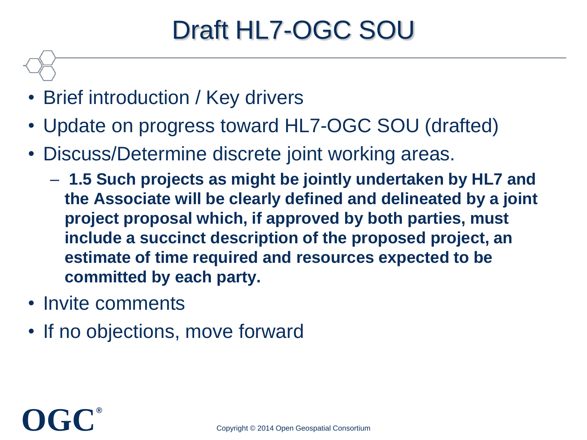# Draft HL7-OGC SOU

- Brief introduction / Key drivers
- Update on progress toward HL7-OGC SOU (drafted)
- Discuss/Determine discrete joint working areas.
	- **1.5 Such projects as might be jointly undertaken by HL7 and the Associate will be clearly defined and delineated by a joint project proposal which, if approved by both parties, must include a succinct description of the proposed project, an estimate of time required and resources expected to be committed by each party.**
- Invite comments
- If no objections, move forward

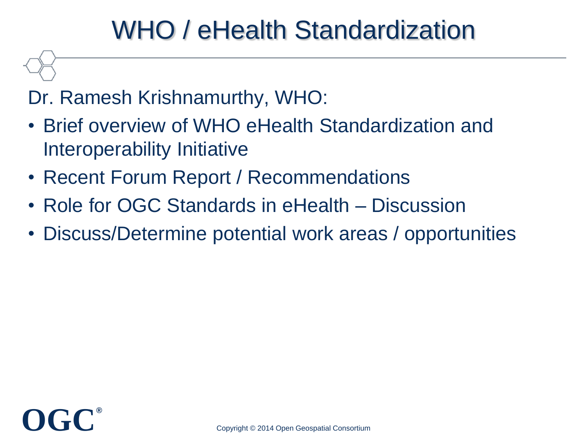## WHO / eHealth Standardization

#### Dr. Ramesh Krishnamurthy, WHO:

- Brief overview of WHO eHealth Standardization and Interoperability Initiative
- Recent Forum Report / Recommendations
- Role for OGC Standards in eHealth Discussion
- Discuss/Determine potential work areas / opportunities

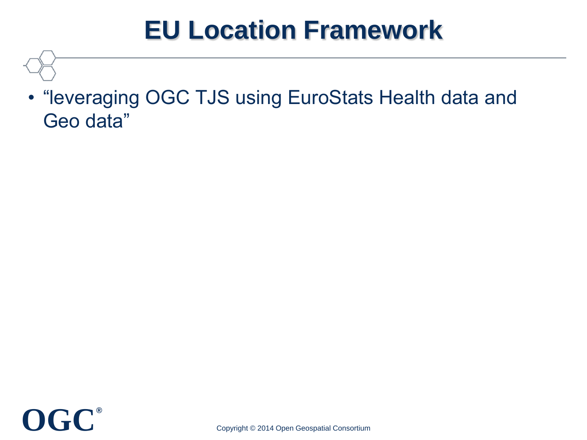## **EU Location Framework**

• "leveraging OGC TJS using EuroStats Health data and Geo data"

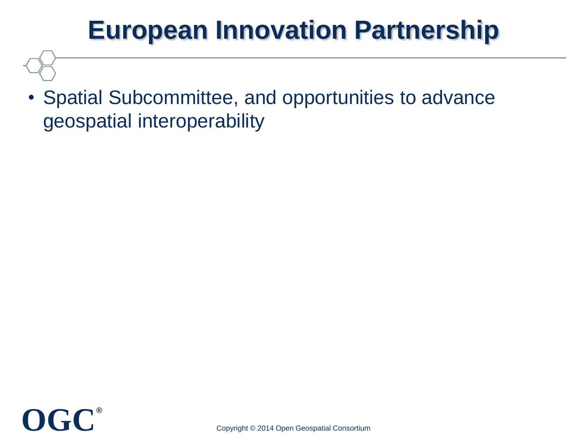# **European Innovation Partnership**

• Spatial Subcommittee, and opportunities to advance geospatial interoperability

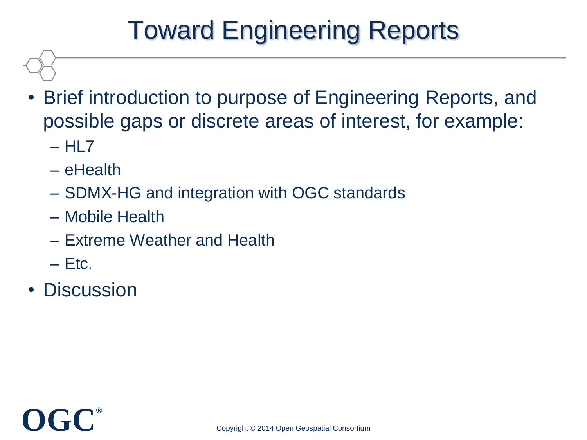# Toward Engineering Reports

- Brief introduction to purpose of Engineering Reports, and possible gaps or discrete areas of interest, for example:
	- $-$  HI  $7$
	- eHealth
	- SDMX-HG and integration with OGC standards
	- Mobile Health
	- Extreme Weather and Health
	- $-$  Ftc.
- **Discussion**

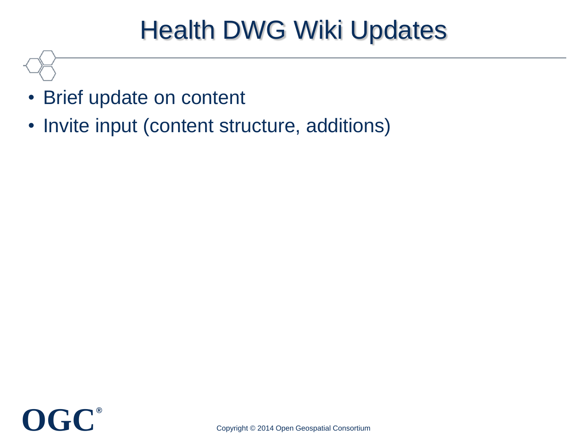## Health DWG Wiki Updates

- Brief update on content
- Invite input (content structure, additions)